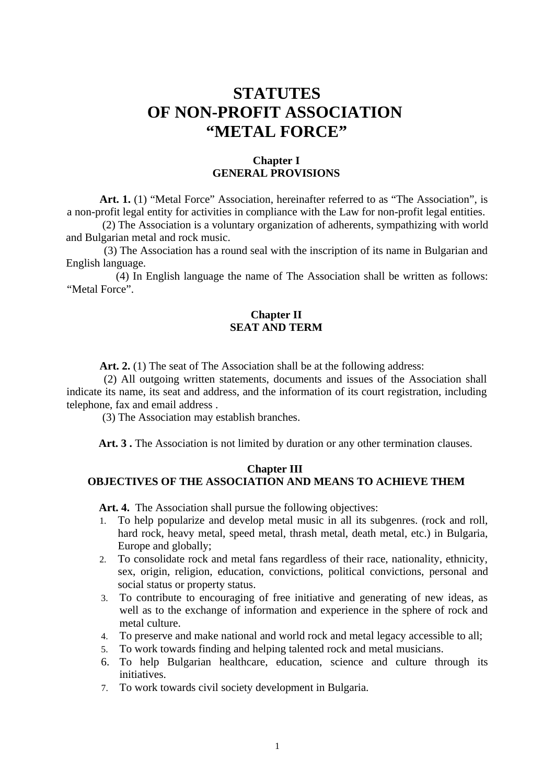# **STATUTES OF NON-PROFIT ASSOCIATION "METAL FORCE"**

## **Chapter I GENERAL PROVISIONS**

**Art. 1.** (1) "Metal Force" Association, hereinafter referred to as "The Association", is a non-profit legal entity for activities in compliance with the Law for non-profit legal entities.

 (2) The Association is a voluntary organization of adherents, sympathizing with world and Bulgarian metal and rock music.

 (3) The Association has a round seal with the inscription of its name in Bulgarian and English language.

 (4) In English language the name of The Association shall be written as follows: "Metal Force".

## **Chapter II SEAT AND TERM**

**Art. 2.** (1) The seat of The Association shall be at the following address:

(2) All outgoing written statements, documents and issues of the Association shall indicate its name, its seat and address, and the information of its court registration, including telephone, fax and email address .

(3) The Association may establish branches.

**Art. 3 .** The Association is not limited by duration or any other termination clauses.

## **Chapter III**

# **OBJECTIVES OF THE ASSOCIATION AND MEANS TO ACHIEVE THEM**

**Art. 4.** The Association shall pursue the following objectives:

- 1. To help popularize and develop metal music in all its subgenres. (rock and roll, hard rock, heavy metal, speed metal, thrash metal, death metal, etc.) in Bulgaria, Europe and globally;
- 2. To consolidate rock and metal fans regardless of their race, nationality, ethnicity, sex, origin, religion, education, convictions, political convictions, personal and social status or property status.
- 3. To contribute to encouraging of free initiative and generating of new ideas, as well as to the exchange of information and experience in the sphere of rock and metal culture.
- 4. To preserve and make national and world rock and metal legacy accessible to all;
- 5. To work towards finding and helping talented rock and metal musicians.
- 6. To help Bulgarian healthcare, education, science and culture through its initiatives.
- 7. To work towards civil society development in Bulgaria.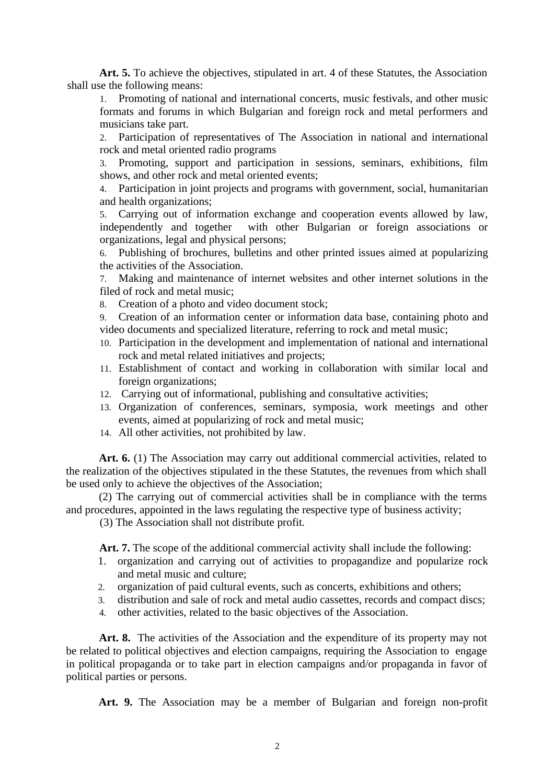**Art. 5.** To achieve the objectives, stipulated in art. 4 of these Statutes, the Association shall use the following means:

1. Promoting of national and international concerts, music festivals, and other music formats and forums in which Bulgarian and foreign rock and metal performers and musicians take part.

2. Participation of representatives of The Association in national and international rock and metal oriented radio programs

3. Promoting, support and participation in sessions, seminars, exhibitions, film shows, and other rock and metal oriented events;

4. Participation in joint projects and programs with government, social, humanitarian and health organizations;

5. Carrying out of information exchange and cooperation events allowed by law, independently and together with other Bulgarian or foreign associations or with other Bulgarian or foreign associations or organizations, legal and physical persons;

6. Publishing of brochures, bulletins and other printed issues aimed at popularizing the activities of the Association.

7. Making and maintenance of internet websites and other internet solutions in the filed of rock and metal music;

8. Creation of a photo and video document stock;

9. Creation of an information center or information data base, containing photo and video documents and specialized literature, referring to rock and metal music;

- 10. Participation in the development and implementation of national and international rock and metal related initiatives and projects;
- 11. Establishment of contact and working in collaboration with similar local and foreign organizations;
- 12. Carrying out of informational, publishing and consultative activities;
- 13. Organization of conferences, seminars, symposia, work meetings and other events, aimed at popularizing of rock and metal music;
- 14. All other activities, not prohibited by law.

Art. 6. (1) The Association may carry out additional commercial activities, related to the realization of the objectives stipulated in the these Statutes, the revenues from which shall be used only to achieve the objectives of the Association;

(2) The carrying out of commercial activities shall be in compliance with the terms and procedures, appointed in the laws regulating the respective type of business activity;

(3) The Association shall not distribute profit.

**Art. 7.** The scope of the additional commercial activity shall include the following:

- 1. organization and carrying out of activities to propagandize and popularize rock and metal music and culture;
- 2. organization of paid cultural events, such as concerts, exhibitions and others;
- 3. distribution and sale of rock and metal audio cassettes, records and compact discs;
- 4. other activities, related to the basic objectives of the Association.

Art. 8. The activities of the Association and the expenditure of its property may not be related to political objectives and election campaigns, requiring the Association to engage in political propaganda or to take part in election campaigns and/or propaganda in favor of political parties or persons.

**Art. 9.** The Association may be a member of Bulgarian and foreign non-profit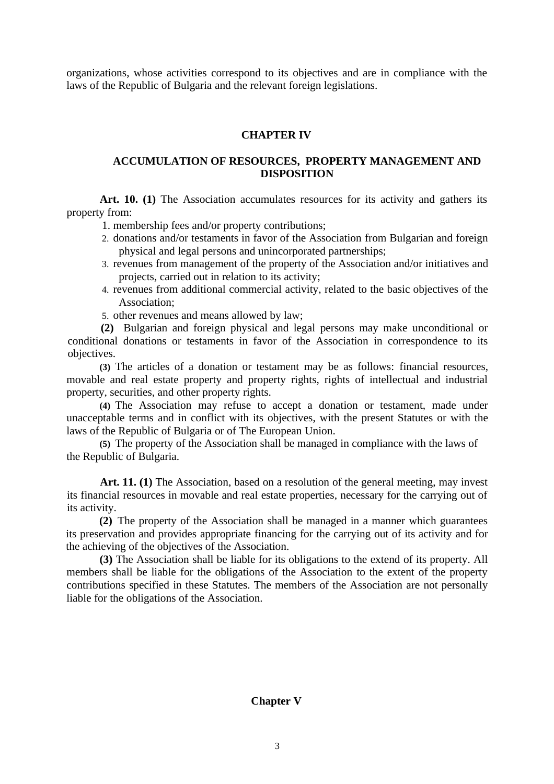organizations, whose activities correspond to its objectives and are in compliance with the laws of the Republic of Bulgaria and the relevant foreign legislations.

## **CHAPTER IV**

## **ACCUMULATION OF RESOURCES, PROPERTY MANAGEMENT AND DISPOSITION**

**Art. 10. (1)** The Association accumulates resources for its activity and gathers its property from:

1. membership fees and/or property contributions;

- 2. donations and/or testaments in favor of the Association from Bulgarian and foreign physical and legal persons and unincorporated partnerships;
- 3. revenues from management of the property of the Association and/or initiatives and projects, carried out in relation to its activity;
- 4. revenues from additional commercial activity, related to the basic objectives of the Association;
- 5. other revenues and means allowed by law;

**(2)** Bulgarian and foreign physical and legal persons may make unconditional or conditional donations or testaments in favor of the Association in correspondence to its objectives.

**(3)** The articles of a donation or testament may be as follows: financial resources, movable and real estate property and property rights, rights of intellectual and industrial property, securities, and other property rights.

**(4)** The Association may refuse to accept a donation or testament, made under unacceptable terms and in conflict with its objectives, with the present Statutes or with the laws of the Republic of Bulgaria or of The European Union.

**(5)** The property of the Association shall be managed in compliance with the laws of the Republic of Bulgaria.

**Art. 11. (1)** The Association, based on a resolution of the general meeting, may invest its financial resources in movable and real estate properties, necessary for the carrying out of its activity.

**(2)** The property of the Association shall be managed in a manner which guarantees its preservation and provides appropriate financing for the carrying out of its activity and for the achieving of the objectives of the Association.

**(3)** The Association shall be liable for its obligations to the extend of its property. All members shall be liable for the obligations of the Association to the extent of the property contributions specified in these Statutes. The members of the Association are not personally liable for the obligations of the Association.

### **Chapter V**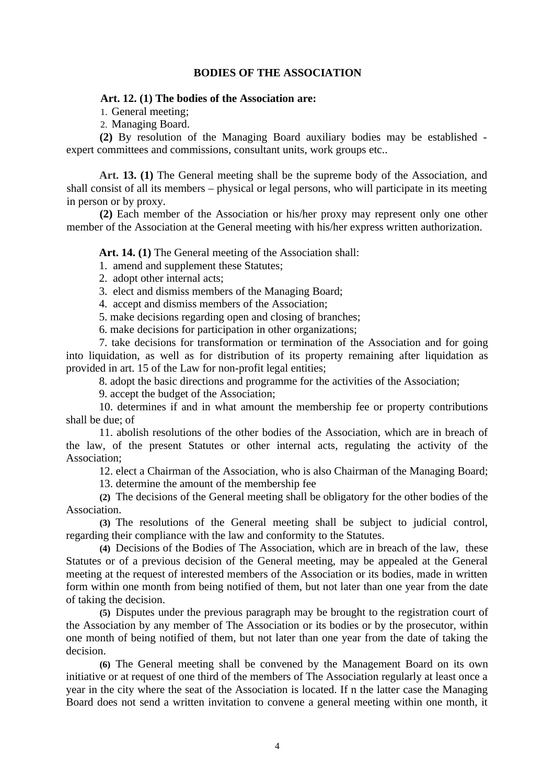#### **BODIES OF THE ASSOCIATION**

#### **Art. 12. (1) The bodies of the Association are:**

1. General meeting;

2. Managing Board.

**(2)** By resolution of the Managing Board auxiliary bodies may be established expert committees and commissions, consultant units, work groups etc..

**Art. 13. (1)** The General meeting shall be the supreme body of the Association, and shall consist of all its members – physical or legal persons, who will participate in its meeting in person or by proxy.

**(2)** Each member of the Association or his/her proxy may represent only one other member of the Association at the General meeting with his/her express written authorization.

**Art. 14. (1)** The General meeting of the Association shall:

1. amend and supplement these Statutes;

- 2. adopt other internal acts;
- 3. elect and dismiss members of the Managing Board;
- 4. accept and dismiss members of the Association;
- 5. make decisions regarding open and closing of branches;

6. make decisions for participation in other organizations;

7. take decisions for transformation or termination of the Association and for going into liquidation, as well as for distribution of its property remaining after liquidation as provided in art. 15 of the Law for non-profit legal entities;

8. adopt the basic directions and programme for the activities of the Association;

9. accept the budget of the Association;

10. determines if and in what amount the membership fee or property contributions shall be due; of

11. abolish resolutions of the other bodies of the Association, which are in breach of the law, of the present Statutes or other internal acts, regulating the activity of the Association;

12. elect a Chairman of the Association, who is also Chairman of the Managing Board;

13. determine the amount of the membership fee

**(2)** The decisions of the General meeting shall be obligatory for the other bodies of the Association.

**(3)** The resolutions of the General meeting shall be subject to judicial control, regarding their compliance with the law and conformity to the Statutes.

**(4)** Decisions of the Bodies of The Association, which are in breach of the law, these Statutes or of a previous decision of the General meeting, may be appealed at the General meeting at the request of interested members of the Association or its bodies, made in written form within one month from being notified of them, but not later than one year from the date of taking the decision.

**(5)** Disputes under the previous paragraph may be brought to the registration court of the Association by any member of The Association or its bodies or by the prosecutor, within one month of being notified of them, but not later than one year from the date of taking the decision.

**(6)** The General meeting shall be convened by the Management Board on its own initiative or at request of one third of the members of The Association regularly at least once a year in the city where the seat of the Association is located. If n the latter case the Managing Board does not send a written invitation to convene a general meeting within one month, it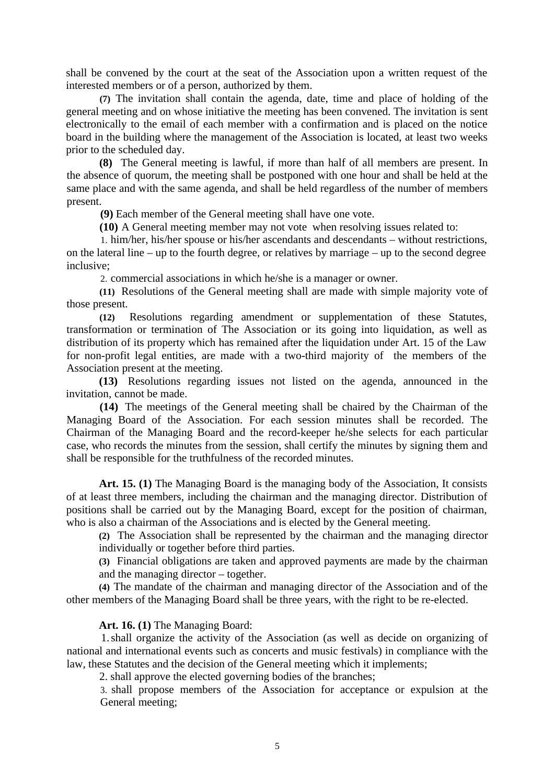shall be convened by the court at the seat of the Association upon a written request of the interested members or of a person, authorized by them.

**(7)** The invitation shall contain the agenda, date, time and place of holding of the general meeting and on whose initiative the meeting has been convened. The invitation is sent electronically to the email of each member with a confirmation and is placed on the notice board in the building where the management of the Association is located, at least two weeks prior to the scheduled day.

**(8)** The General meeting is lawful, if more than half of all members are present. In the absence of quorum, the meeting shall be postponed with one hour and shall be held at the same place and with the same agenda, and shall be held regardless of the number of members present.

**(9)** Each member of the General meeting shall have one vote.

**(10)** A General meeting member may not vote when resolving issues related to:

1. him/her, his/her spouse or his/her ascendants and descendants – without restrictions, on the lateral line – up to the fourth degree, or relatives by marriage – up to the second degree inclusive;

2. commercial associations in which he/she is a manager or owner.

**(11)** Resolutions of the General meeting shall are made with simple majority vote of those present.

**(12)** Resolutions regarding amendment or supplementation of these Statutes, transformation or termination of The Association or its going into liquidation, as well as distribution of its property which has remained after the liquidation under Art. 15 of the Law for non-profit legal entities, are made with a two-third majority of the members of the Association present at the meeting.

**(13)** Resolutions regarding issues not listed on the agenda, announced in the invitation, cannot be made.

**(14)** The meetings of the General meeting shall be chaired by the Chairman of the Managing Board of the Association. For each session minutes shall be recorded. The Chairman of the Managing Board and the record-keeper he/she selects for each particular case, who records the minutes from the session, shall certify the minutes by signing them and shall be responsible for the truthfulness of the recorded minutes.

**Art. 15. (1)** The Managing Board is the managing body of the Association, It consists of at least three members, including the chairman and the managing director. Distribution of positions shall be carried out by the Managing Board, except for the position of chairman, who is also a chairman of the Associations and is elected by the General meeting.

**(2)** The Association shall be represented by the chairman and the managing director individually or together before third parties.

**(3)** Financial obligations are taken and approved payments are made by the chairman and the managing director – together.

**(4)** The mandate of the chairman and managing director of the Association and of the other members of the Managing Board shall be three years, with the right to be re-elected.

#### **Art. 16. (1)** The Managing Board:

1.shall organize the activity of the Association (as well as decide on organizing of national and international events such as concerts and music festivals) in compliance with the law, these Statutes and the decision of the General meeting which it implements;

2. shall approve the elected governing bodies of the branches;

3. shall propose members of the Association for acceptance or expulsion at the General meeting;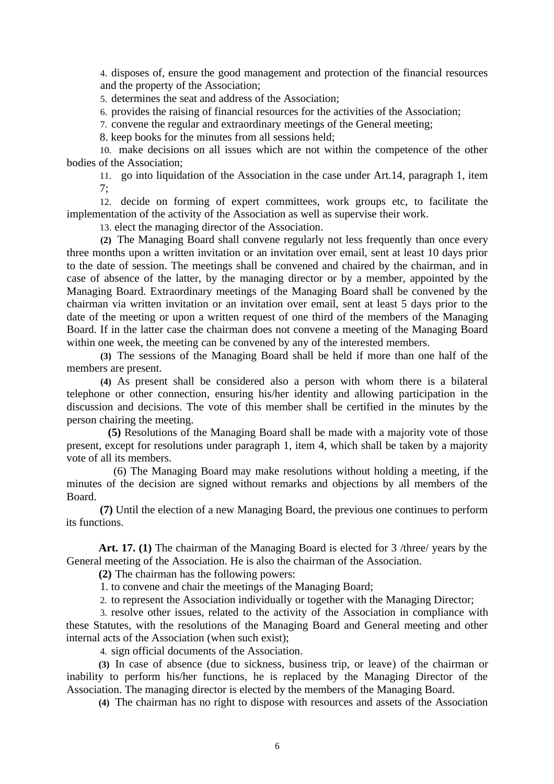4. disposes of, ensure the good management and protection of the financial resources and the property of the Association;

5. determines the seat and address of the Association;

6. provides the raising of financial resources for the activities of the Association;

7. convene the regular and extraordinary meetings of the General meeting;

8. keep books for the minutes from all sessions held;

10. make decisions on all issues which are not within the competence of the other bodies of the Association;

11. go into liquidation of the Association in the case under Art.14, paragraph 1, item 7;

12. decide on forming of expert committees, work groups etc, to facilitate the implementation of the activity of the Association as well as supervise their work.

13. elect the managing director of the Association.

**(2)** The Managing Board shall convene regularly not less frequently than once every three months upon a written invitation or an invitation over email, sent at least 10 days prior to the date of session. The meetings shall be convened and chaired by the chairman, and in case of absence of the latter, by the managing director or by a member, appointed by the Managing Board. Extraordinary meetings of the Managing Board shall be convened by the chairman via written invitation or an invitation over email, sent at least 5 days prior to the date of the meeting or upon a written request of one third of the members of the Managing Board. If in the latter case the chairman does not convene a meeting of the Managing Board within one week, the meeting can be convened by any of the interested members.

**(3)** The sessions of the Managing Board shall be held if more than one half of the members are present.

**(4)** As present shall be considered also a person with whom there is a bilateral telephone or other connection, ensuring his/her identity and allowing participation in the discussion and decisions. The vote of this member shall be certified in the minutes by the person chairing the meeting.

 **(5)** Resolutions of the Managing Board shall be made with a majority vote of those present, except for resolutions under paragraph 1, item 4, which shall be taken by a majority vote of all its members.

 (6) The Managing Board may make resolutions without holding a meeting, if the minutes of the decision are signed without remarks and objections by all members of the Board.

 **(7)** Until the election of a new Managing Board, the previous one continues to perform its functions.

**Art. 17. (1)** The chairman of the Managing Board is elected for 3 /three/ years by the General meeting of the Association. He is also the chairman of the Association.

**(2)** The chairman has the following powers:

1. to convene and chair the meetings of the Managing Board;

2. to represent the Association individually or together with the Managing Director;

3. resolve other issues, related to the activity of the Association in compliance with these Statutes, with the resolutions of the Managing Board and General meeting and other internal acts of the Association (when such exist);

4. sign official documents of the Association.

**(3)** In case of absence (due to sickness, business trip, or leave) of the chairman or inability to perform his/her functions, he is replaced by the Managing Director of the Association. The managing director is elected by the members of the Managing Board.

**(4)** The chairman has no right to dispose with resources and assets of the Association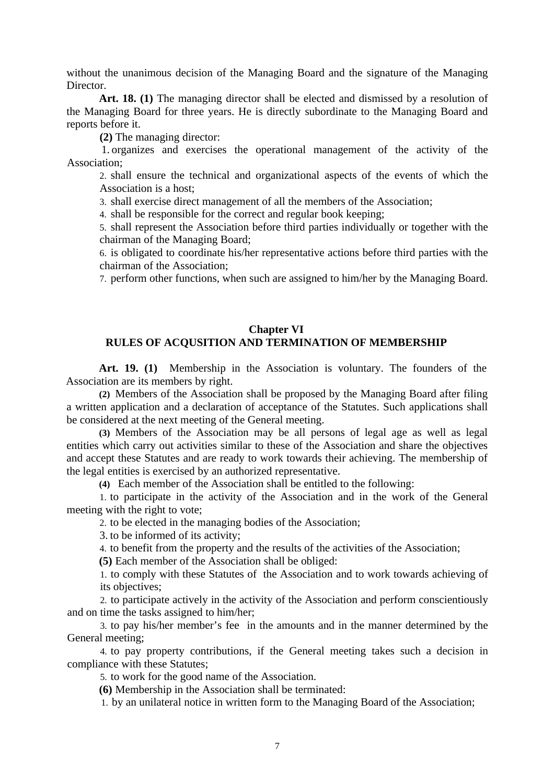without the unanimous decision of the Managing Board and the signature of the Managing Director.

**Art. 18. (1)** The managing director shall be elected and dismissed by a resolution of the Managing Board for three years. He is directly subordinate to the Managing Board and reports before it.

**(2)** The managing director:

1. organizes and exercises the operational management of the activity of the Association;

2. shall ensure the technical and organizational aspects of the events of which the Association is a host;

3. shall exercise direct management of all the members of the Association;

4. shall be responsible for the correct and regular book keeping;

5. shall represent the Association before third parties individually or together with the chairman of the Managing Board;

6. is obligated to coordinate his/her representative actions before third parties with the chairman of the Association;

7. perform other functions, when such are assigned to him/her by the Managing Board.

## **Chapter VI**

## **RULES OF ACQUSITION AND TERMINATION OF MEMBERSHIP**

**Art. 19. (1)** Membership in the Association is voluntary. The founders of the Association are its members by right.

**(2)** Members of the Association shall be proposed by the Managing Board after filing a written application and a declaration of acceptance of the Statutes. Such applications shall be considered at the next meeting of the General meeting.

**(3)** Members of the Association may be all persons of legal age as well as legal entities which carry out activities similar to these of the Association and share the objectives and accept these Statutes and are ready to work towards their achieving. The membership of the legal entities is exercised by an authorized representative.

**(4)** Each member of the Association shall be entitled to the following:

1. to participate in the activity of the Association and in the work of the General meeting with the right to vote;

2. to be elected in the managing bodies of the Association;

3. to be informed of its activity;

4. to benefit from the property and the results of the activities of the Association;

**(5)** Each member of the Association shall be obliged:

1. to comply with these Statutes of the Association and to work towards achieving of its objectives;

2. to participate actively in the activity of the Association and perform conscientiously and on time the tasks assigned to him/her;

3. to pay his/her member's fee in the amounts and in the manner determined by the General meeting;

4. to pay property contributions, if the General meeting takes such a decision in compliance with these Statutes;

5. to work for the good name of the Association.

**(6)** Membership in the Association shall be terminated:

1. by an unilateral notice in written form to the Managing Board of the Association;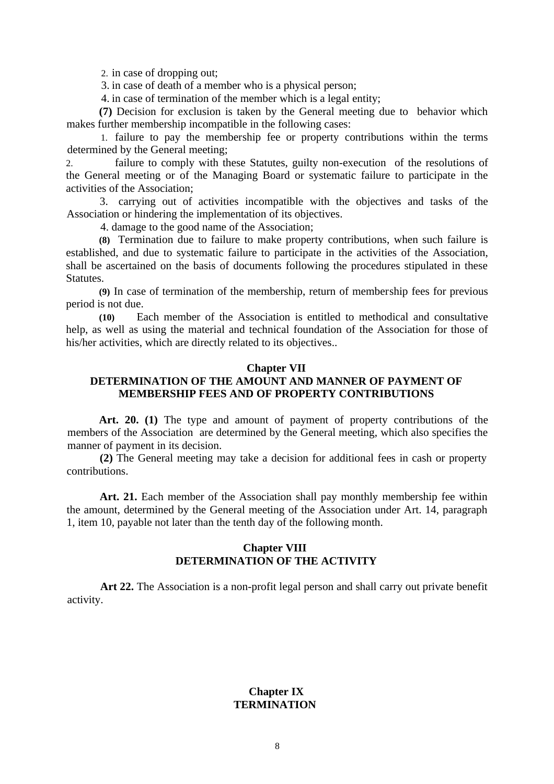2. in case of dropping out;

3. in case of death of a member who is a physical person;

4. in case of termination of the member which is a legal entity;

**(7)** Decision for exclusion is taken by the General meeting due to behavior which makes further membership incompatible in the following cases:

1. failure to pay the membership fee or property contributions within the terms determined by the General meeting;

2. failure to comply with these Statutes, guilty non-execution of the resolutions of the General meeting or of the Managing Board or systematic failure to participate in the activities of the Association;

3. carrying out of activities incompatible with the objectives and tasks of the Association or hindering the implementation of its objectives.

4. damage to the good name of the Association;

**(8)** Termination due to failure to make property contributions, when such failure is established, and due to systematic failure to participate in the activities of the Association, shall be ascertained on the basis of documents following the procedures stipulated in these Statutes.

**(9)** In case of termination of the membership, return of membership fees for previous period is not due.

**(10)** Each member of the Association is entitled to methodical and consultative help, as well as using the material and technical foundation of the Association for those of his/her activities, which are directly related to its objectives..

#### **Chapter VII**

## **DETERMINATION OF THE AMOUNT AND MANNER OF PAYMENT OF MEMBERSHIP FEES AND OF PROPERTY CONTRIBUTIONS**

**Art. 20. (1)** The type and amount of payment of property contributions of the members of the Association are determined by the General meeting, which also specifies the manner of payment in its decision.

**(2)** The General meeting may take a decision for additional fees in cash or property contributions.

**Art. 21.** Each member of the Association shall pay monthly membership fee within the amount, determined by the General meeting of the Association under Art. 14, paragraph 1, item 10, payable not later than the tenth day of the following month.

#### **Chapter VIII DETERMINATION OF THE ACTIVITY**

**Art 22.** The Association is a non-profit legal person and shall carry out private benefit activity.

### **Chapter IX TERMINATION**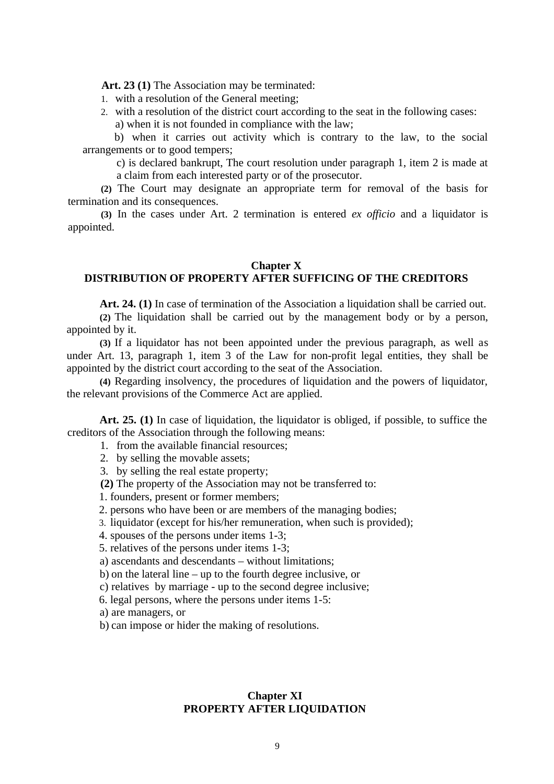**Art. 23 (1)** The Association may be terminated:

- 1. with a resolution of the General meeting;
- 2. with a resolution of the district court according to the seat in the following cases: a) when it is not founded in compliance with the law;

b) when it carries out activity which is contrary to the law, to the social arrangements or to good tempers;

c) is declared bankrupt, The court resolution under paragraph 1, item 2 is made at a claim from each interested party or of the prosecutor.

**(2)** The Court may designate an appropriate term for removal of the basis for termination and its consequences.

**(3)** In the cases under Art. 2 termination is entered *ex officio* and a liquidator is appointed.

#### **Chapter X**

## **DISTRIBUTION OF PROPERTY AFTER SUFFICING OF THE CREDITORS**

**Art. 24. (1)** In case of termination of the Association a liquidation shall be carried out.

**(2)** The liquidation shall be carried out by the management body or by a person, appointed by it.

**(3)** If a liquidator has not been appointed under the previous paragraph, as well as under Art. 13, paragraph 1, item 3 of the Law for non-profit legal entities, they shall be appointed by the district court according to the seat of the Association.

**(4)** Regarding insolvency, the procedures of liquidation and the powers of liquidator, the relevant provisions of the Commerce Act are applied.

**Art. 25. (1)** In case of liquidation, the liquidator is obliged, if possible, to suffice the creditors of the Association through the following means:

- 1. from the available financial resources;
- 2. by selling the movable assets;
- 3. by selling the real estate property;
- **(2)** The property of the Association may not be transferred to:
- 1. founders, present or former members;
- 2. persons who have been or are members of the managing bodies;
- 3. liquidator (except for his/her remuneration, when such is provided);
- 4. spouses of the persons under items 1-3;

5. relatives of the persons under items 1-3;

a) ascendants and descendants – without limitations;

b) on the lateral line – up to the fourth degree inclusive, or

c) relatives by marriage - up to the second degree inclusive;

6. legal persons, where the persons under items 1-5:

a) are managers, or

b) can impose or hider the making of resolutions.

#### **Chapter XI PROPERTY AFTER LIQUIDATION**